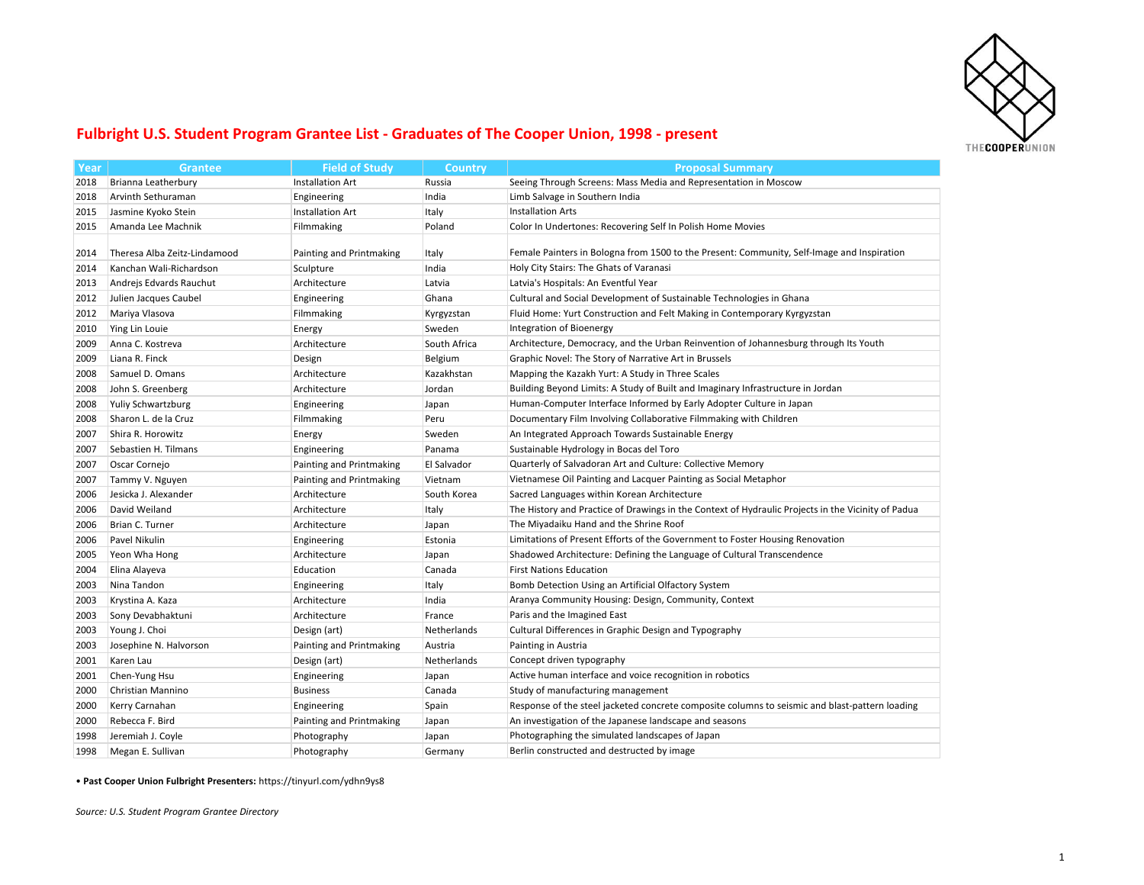

## **Fulbright U.S. Student Program Grantee List - Graduates of The Cooper Union, 1998 - present**

| Year | Grantee                      | <b>Field of Study</b>    | <b>Country</b> | <b>Proposal Summary</b>                                                                            |
|------|------------------------------|--------------------------|----------------|----------------------------------------------------------------------------------------------------|
| 2018 | Brianna Leatherbury          | <b>Installation Art</b>  | Russia         | Seeing Through Screens: Mass Media and Representation in Moscow                                    |
| 2018 | Arvinth Sethuraman           | Engineering              | India          | Limb Salvage in Southern India                                                                     |
| 2015 | Jasmine Kyoko Stein          | <b>Installation Art</b>  | Italy          | <b>Installation Arts</b>                                                                           |
| 2015 | Amanda Lee Machnik           | Filmmaking               | Poland         | Color In Undertones: Recovering Self In Polish Home Movies                                         |
|      |                              |                          |                |                                                                                                    |
| 2014 | Theresa Alba Zeitz-Lindamood | Painting and Printmaking | Italy          | Female Painters in Bologna from 1500 to the Present: Community, Self-Image and Inspiration         |
| 2014 | Kanchan Wali-Richardson      | Sculpture                | India          | Holy City Stairs: The Ghats of Varanasi                                                            |
| 2013 | Andrejs Edvards Rauchut      | Architecture             | Latvia         | Latvia's Hospitals: An Eventful Year                                                               |
| 2012 | Julien Jacques Caubel        | Engineering              | Ghana          | Cultural and Social Development of Sustainable Technologies in Ghana                               |
| 2012 | Mariya Vlasova               | Filmmaking               | Kyrgyzstan     | Fluid Home: Yurt Construction and Felt Making in Contemporary Kyrgyzstan                           |
| 2010 | Ying Lin Louie               | Energy                   | Sweden         | Integration of Bioenergy                                                                           |
| 2009 | Anna C. Kostreva             | Architecture             | South Africa   | Architecture, Democracy, and the Urban Reinvention of Johannesburg through Its Youth               |
| 2009 | Liana R. Finck               | Design                   | Belgium        | Graphic Novel: The Story of Narrative Art in Brussels                                              |
| 2008 | Samuel D. Omans              | Architecture             | Kazakhstan     | Mapping the Kazakh Yurt: A Study in Three Scales                                                   |
| 2008 | John S. Greenberg            | Architecture             | Jordan         | Building Beyond Limits: A Study of Built and Imaginary Infrastructure in Jordan                    |
| 2008 | <b>Yuliy Schwartzburg</b>    | Engineering              | Japan          | Human-Computer Interface Informed by Early Adopter Culture in Japan                                |
| 2008 | Sharon L. de la Cruz         | Filmmaking               | Peru           | Documentary Film Involving Collaborative Filmmaking with Children                                  |
| 2007 | Shira R. Horowitz            | Energy                   | Sweden         | An Integrated Approach Towards Sustainable Energy                                                  |
| 2007 | Sebastien H. Tilmans         | Engineering              | Panama         | Sustainable Hydrology in Bocas del Toro                                                            |
| 2007 | Oscar Cornejo                | Painting and Printmaking | El Salvador    | Quarterly of Salvadoran Art and Culture: Collective Memory                                         |
| 2007 | Tammy V. Nguyen              | Painting and Printmaking | Vietnam        | Vietnamese Oil Painting and Lacquer Painting as Social Metaphor                                    |
| 2006 | Jesicka J. Alexander         | Architecture             | South Korea    | Sacred Languages within Korean Architecture                                                        |
| 2006 | David Weiland                | Architecture             | Italy          | The History and Practice of Drawings in the Context of Hydraulic Projects in the Vicinity of Padua |
| 2006 | Brian C. Turner              | Architecture             | Japan          | The Miyadaiku Hand and the Shrine Roof                                                             |
| 2006 | Pavel Nikulin                | Engineering              | Estonia        | Limitations of Present Efforts of the Government to Foster Housing Renovation                      |
| 2005 | Yeon Wha Hong                | Architecture             | Japan          | Shadowed Architecture: Defining the Language of Cultural Transcendence                             |
| 2004 | Elina Alayeva                | Education                | Canada         | <b>First Nations Education</b>                                                                     |
| 2003 | Nina Tandon                  | Engineering              | Italy          | Bomb Detection Using an Artificial Olfactory System                                                |
| 2003 | Krystina A. Kaza             | Architecture             | India          | Aranya Community Housing: Design, Community, Context                                               |
| 2003 | Sony Devabhaktuni            | Architecture             | France         | Paris and the Imagined East                                                                        |
| 2003 | Young J. Choi                | Design (art)             | Netherlands    | Cultural Differences in Graphic Design and Typography                                              |
| 2003 | Josephine N. Halvorson       | Painting and Printmaking | Austria        | Painting in Austria                                                                                |
| 2001 | Karen Lau                    | Design (art)             | Netherlands    | Concept driven typography                                                                          |
| 2001 | Chen-Yung Hsu                | Engineering              | Japan          | Active human interface and voice recognition in robotics                                           |
| 2000 | Christian Mannino            | <b>Business</b>          | Canada         | Study of manufacturing management                                                                  |
| 2000 | Kerry Carnahan               | Engineering              | Spain          | Response of the steel jacketed concrete composite columns to seismic and blast-pattern loading     |
| 2000 | Rebecca F. Bird              | Painting and Printmaking | Japan          | An investigation of the Japanese landscape and seasons                                             |
| 1998 | Jeremiah J. Coyle            | Photography              | Japan          | Photographing the simulated landscapes of Japan                                                    |
| 1998 | Megan E. Sullivan            | Photography              | Germany        | Berlin constructed and destructed by image                                                         |
|      |                              |                          |                |                                                                                                    |

• **Past Cooper Union Fulbright Presenters:** https://tinyurl.com/ydhn9ys8

*Source: U.S. Student Program Grantee Directory*